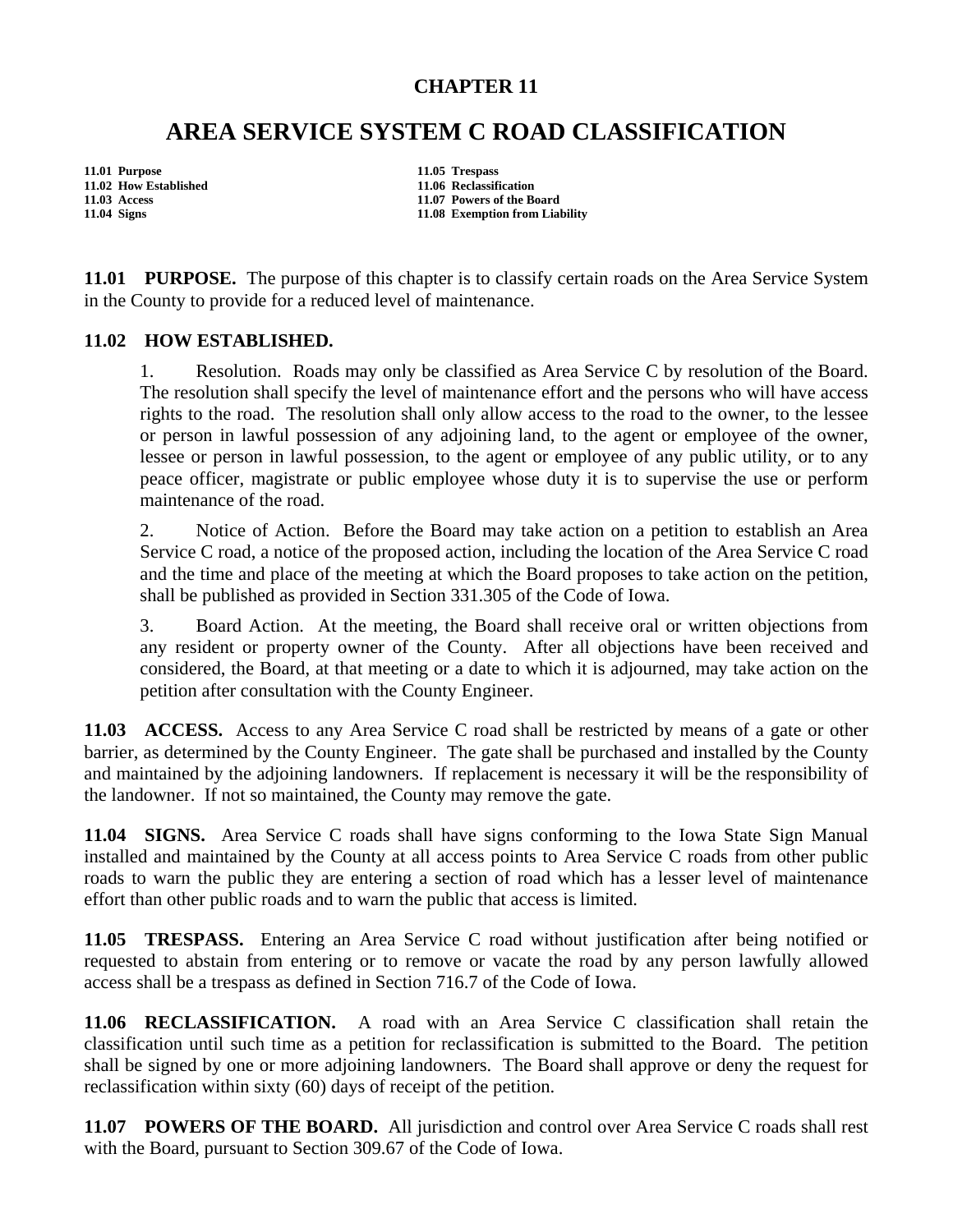## **CHAPTER 11**

## **AREA SERVICE SYSTEM C ROAD CLASSIFICATION**

**11.01 Purpose 11.05 Trespass** 

**11.02 How Established 11.06 Reclassification 11.03 Access 11.07 Powers of the Board 11.04 Signs 11.08 Exemption from Liability** 

**11.01 PURPOSE.** The purpose of this chapter is to classify certain roads on the Area Service System in the County to provide for a reduced level of maintenance.

## **11.02 HOW ESTABLISHED.**

1. Resolution. Roads may only be classified as Area Service C by resolution of the Board. The resolution shall specify the level of maintenance effort and the persons who will have access rights to the road. The resolution shall only allow access to the road to the owner, to the lessee or person in lawful possession of any adjoining land, to the agent or employee of the owner, lessee or person in lawful possession, to the agent or employee of any public utility, or to any peace officer, magistrate or public employee whose duty it is to supervise the use or perform maintenance of the road.

2. Notice of Action. Before the Board may take action on a petition to establish an Area Service C road, a notice of the proposed action, including the location of the Area Service C road and the time and place of the meeting at which the Board proposes to take action on the petition, shall be published as provided in Section 331.305 of the Code of Iowa.

3. Board Action. At the meeting, the Board shall receive oral or written objections from any resident or property owner of the County. After all objections have been received and considered, the Board, at that meeting or a date to which it is adjourned, may take action on the petition after consultation with the County Engineer.

**11.03 ACCESS.** Access to any Area Service C road shall be restricted by means of a gate or other barrier, as determined by the County Engineer. The gate shall be purchased and installed by the County and maintained by the adjoining landowners. If replacement is necessary it will be the responsibility of the landowner. If not so maintained, the County may remove the gate.

**11.04 SIGNS.** Area Service C roads shall have signs conforming to the Iowa State Sign Manual installed and maintained by the County at all access points to Area Service C roads from other public roads to warn the public they are entering a section of road which has a lesser level of maintenance effort than other public roads and to warn the public that access is limited.

**11.05 TRESPASS.** Entering an Area Service C road without justification after being notified or requested to abstain from entering or to remove or vacate the road by any person lawfully allowed access shall be a trespass as defined in Section 716.7 of the Code of Iowa.

**11.06 RECLASSIFICATION.** A road with an Area Service C classification shall retain the classification until such time as a petition for reclassification is submitted to the Board. The petition shall be signed by one or more adjoining landowners. The Board shall approve or deny the request for reclassification within sixty (60) days of receipt of the petition.

**11.07 POWERS OF THE BOARD.** All jurisdiction and control over Area Service C roads shall rest with the Board, pursuant to Section 309.67 of the Code of Iowa.